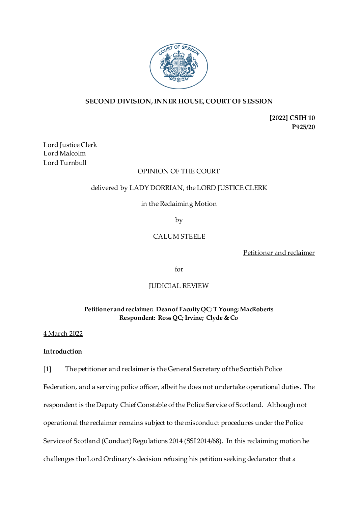

# **SECOND DIVISION, INNER HOUSE, COURT OF SESSION**

**[2022] CSIH 10 P925/20**

Lord Justice Clerk Lord Malcolm Lord Turnbull

#### OPINION OF THE COURT

## delivered by LADY DORRIAN, the LORD JUSTICE CLERK

## in the Reclaiming Motion

by

# CALUM STEELE

Petitioner and reclaimer

for

## JUDICIAL REVIEW

## **Petitioner and reclaimer: Dean of Faculty QC; T Young; MacRoberts Respondent: Ross QC; Irvine; Clyde & Co**

## 4 March 2022

## **Introduction**

[1] The petitioner and reclaimer is the General Secretary of the Scottish Police

Federation, and a serving police officer, albeit he does not undertake operational duties. The respondent is the Deputy Chief Constable of the Police Service of Scotland. Although not operational the reclaimer remains subject to the misconduct procedures under the Police Service of Scotland (Conduct) Regulations 2014 (SSI 2014/68). In this reclaiming motion he challenges the Lord Ordinary's decision refusing his petition seeking declarator that a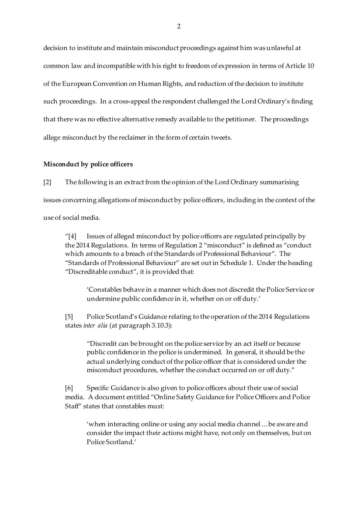decision to institute and maintain misconduct proceedings against him was unlawful at common law and incompatible with his right to freedom of expression in terms of Article 10 of the European Convention on Human Rights, and reduction of the decision to institute such proceedings. In a cross-appeal the respondent challenged the Lord Ordinary's finding that there was no effective alternative remedy available to the petitioner. The proceedings allege misconduct by the reclaimer in the form of certain tweets.

#### **Misconduct by police officers**

[2] The following is an extract from the opinion of the Lord Ordinary summarising issues concerning allegations of misconduct by police officers, including in the context of the use of social media.

"[4] Issues of alleged misconduct by police officers are regulated principally by the 2014 Regulations. In terms of Regulation 2 "misconduct" is defined as "conduct which amounts to a breach of the Standards of Professional Behaviour". The "Standards of Professional Behaviour" are set out in Schedule 1. Under the heading "Discreditable conduct", it is provided that:

'Constables behave in a manner which does not discredit the Police Service or undermine public confidence in it, whether on or off duty.'

[5] Police Scotland's Guidance relating to the operation of the 2014 Regulations states *inter alia* (at paragraph 3.10.3):

"Discredit can be brought on the police service by an act itself or because public confidence in the police is undermined. In general, it should be the actual underlying conduct of the police officer that is considered under the misconduct procedures, whether the conduct occurred on or off duty."

[6] Specific Guidance is also given to police officers about their use of social media. A document entitled "Online Safety Guidance for Police Officers and Police Staff" states that constables must:

'when interacting online or using any social media channel ... be aware and consider the impact their actions might have, not only on themselves, but on Police Scotland.'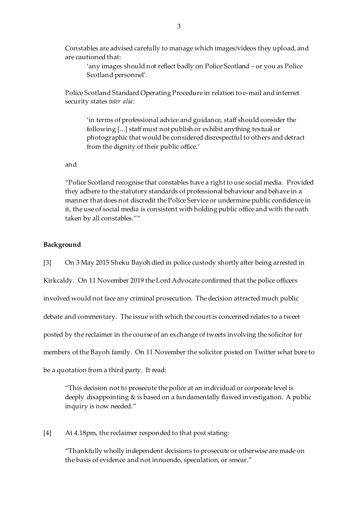Constables are advised carefully to manage which images/videos they upload, and are cautioned that:

'any images should not reflect badly on Police Scotland – or you as Police Scotland personnel'.

Police Scotland Standard Operating Procedure in relation to e-mail and internet security states *inter alia*:

'in terms of professional advice and guidance, staff should consider the following [...] staff must not publish or exhibit anything textual or photographic that would be considered disrespectful to others and detract from the dignity of their public office.'

and

"Police Scotland recognise that constables have a right to use social media. Provided they adhere to the statutory standards of professional behaviour and behave in a manner that does not discredit the Police Service or undermine public confidence in it, the use of social media is consistent with holding public office and with the oath taken by all constables.""

#### **Background**

[3] On 3 May 2015 Sheku Bayoh died in police custody shortly after being arrested in Kirkcaldy. On 11 November 2019 the Lord Advocate confirmed that the police officers involved would not face any criminal prosecution. The decision attracted much public debate and commentary. The issue with which the court is concerned relates to a tweet posted by the reclaimer in the course of an exchange of tweets involving the solicitor for members of the Bayoh family. On 11 November the solicitor posted on Twitter what bore to be a quotation from a third party. It read:

"This decision not to prosecute the police at an individual or corporate level is deeply disappointing & is based on a fundamentally flawed investigation. A public inquiry is now needed."

[4] At 4.18pm, the reclaimer responded to that post stating:

"Thankfully wholly independent decisions to prosecute or otherwise are made on the basis of evidence and not innuendo, speculation, or smear."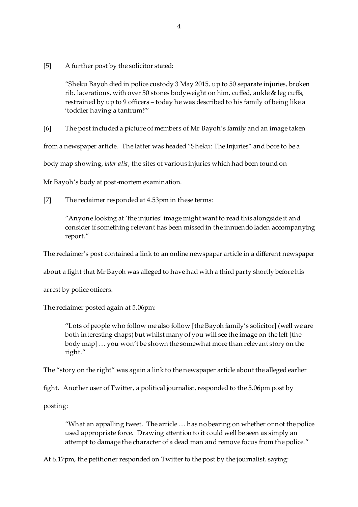[5] A further post by the solicitor stated:

"Sheku Bayoh died in police custody 3 May 2015, up to 50 separate injuries, broken rib, lacerations, with over 50 stones bodyweight on him, cuffed, ankle & leg cuffs, restrained by up to 9 officers – today he was described to his family of being like a 'toddler having a tantrum!'"

[6] The post included a picture of members of Mr Bayoh's family and an image taken

from a newspaper article. The latter was headed "Sheku: The Injuries" and bore to be a

body map showing, *inter alia*, the sites of various injuries which had been found on

Mr Bayoh's body at post-mortem examination.

[7] The reclaimer responded at 4.53pm in these terms:

"Anyone looking at 'the injuries' image might want to read this alongside it and consider if something relevant has been missed in the innuendo laden accompanying report."

The reclaimer's post contained a link to an online newspaper article in a different newspaper

about a fight that Mr Bayoh was alleged to have had with a third party shortly before his

arrest by police officers.

The reclaimer posted again at 5.06pm:

"Lots of people who follow me also follow [the Bayoh family's solicitor] (well we are both interesting chaps) but whilst many of you will see the image on the left [the body map] … you won't be shown the somewhat more than relevant story on the right."

The "story on the right" was again a link to the newspaper article about the alleged earlier

fight. Another user of Twitter, a political journalist, responded to the 5.06pm post by

posting:

"What an appalling tweet. The article … has no bearing on whether or not the police used appropriate force. Drawing attention to it could well be seen as simply an attempt to damage the character of a dead man and remove focus from the police."

At 6.17pm, the petitioner responded on Twitter to the post by the journalist, saying: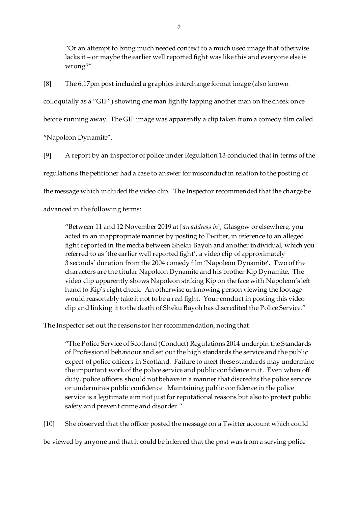"Or an attempt to bring much needed context to a much used image that otherwise lacks it – or maybe the earlier well reported fight was like this and everyone else is wrong?"

[8] The 6.17pm post included a graphics interchange format image (also known colloquially as a "GIF") showing one man lightly tapping another man on the cheek once before running away. The GIF image was apparently a clip taken from a comedy film called "Napoleon Dynamite".

[9] A report by an inspector of police under Regulation 13 concluded that in terms of the regulations the petitioner had a case to answer for misconduct in relation to the posting of the message which included the video clip. The Inspector recommended that the charge be advanced in the following terms:

"Between 11 and 12 November 2019 at [*an address in*], Glasgow or elsewhere, you acted in an inappropriate manner by posting to Twitter, in reference to an alleged fight reported in the media between Sheku Bayoh and another individual, which you referred to as 'the earlier well reported fight', a video clip of approximately 3 seconds' duration from the 2004 comedy film 'Napoleon Dynamite'. Two of the characters are the titular Napoleon Dynamite and his brother Kip Dynamite. The video clip apparently shows Napoleon striking Kip on the face with Napoleon's left hand to Kip's right cheek. An otherwise unknowing person viewing the footage would reasonably take it not to be a real fight. Your conduct in posting this video clip and linking it to the death of Sheku Bayoh has discredited the Police Service."

The Inspector set out the reasons for her recommendation, noting that:

"The Police Service of Scotland (Conduct) Regulations 2014 underpin the Standards of Professional behaviour and set out the high standards the service and the public expect of police officers in Scotland. Failure to meet these standards may undermine the important work of the police service and public confidence in it. Even when off duty, police officers should not behave in a manner that discredits the police service or undermines public confidence. Maintaining public confidence in the police service is a legitimate aim not just for reputational reasons but also to protect public safety and prevent crime and disorder."

[10] She observed that the officer posted the message on a Twitter account which could be viewed by anyone and that it could be inferred that the post was from a serving police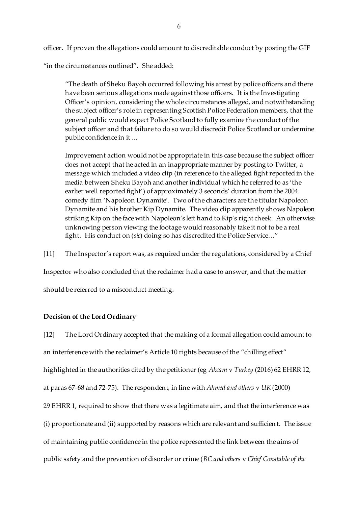officer. If proven the allegations could amount to discreditable conduct by posting the GIF "in the circumstances outlined". She added:

"The death of Sheku Bayoh occurred following his arrest by police officers and there have been serious allegations made against those officers. It is the Investigating Officer's opinion, considering the whole circumstances alleged, and notwithstanding the subject officer's role in representing Scottish Police Federation members, that the general public would expect Police Scotland to fully examine the conduct of the subject officer and that failure to do so would discredit Police Scotland or undermine public confidence in it ...

Improvement action would not be appropriate in this case because the subject officer does not accept that he acted in an inappropriate manner by posting to Twitter, a message which included a video clip (in reference to the alleged fight reported in the media between Sheku Bayoh and another individual which he referred to as 'the earlier well reported fight') of approximately 3 seconds' duration from the 2004 comedy film 'Napoleon Dynamite'. Two of the characters are the titular Napoleon Dynamite and his brother Kip Dynamite. The video clip apparently shows Napoleon striking Kip on the face with Napoleon's left hand to Kip's right cheek. An otherwise unknowing person viewing the footage would reasonably take it not to be a real fight. His conduct on (*sic*) doing so has discredited the Police Service…"

[11] The Inspector's report was, as required under the regulations, considered by a Chief

Inspector who also concluded that the reclaimer had a case to answer, and that the matter

should be referred to a misconduct meeting.

#### **Decision of the Lord Ordinary**

[12] The Lord Ordinary accepted that the making of a formal allegation could amount to an interference with the reclaimer's Article 10 rights because of the "chilling effect" highlighted in the authorities cited by the petitioner (eg *Akcam* v *Turkey* (2016) 62 EHRR 12, at paras 67-68 and 72-75). The respondent, in line with *Ahmed and others* v *UK* (2000) 29 EHRR 1, required to show that there was a legitimate aim, and that the interference was (i) proportionate and (ii) supported by reasons which are relevant and sufficient. The issue of maintaining public confidence in the police represented the link between the aims of public safety and the prevention of disorder or crime (*BC and others* v *Chief Constable of the*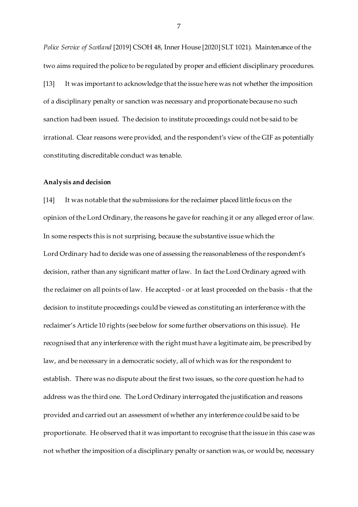*Police Service of Scotland* [2019] CSOH 48, Inner House [2020] SLT 1021). Maintenance of the two aims required the police to be regulated by proper and efficient disciplinary procedures. [13] It was important to acknowledge that the issue here was not whether the imposition of a disciplinary penalty or sanction was necessary and proportionate because no such sanction had been issued. The decision to institute proceedings could not be said to be irrational. Clear reasons were provided, and the respondent's view of the GIF as potentially constituting discreditable conduct was tenable.

#### **Analysis and decision**

[14] It was notable that the submissions for the reclaimer placed little focus on the opinion of the Lord Ordinary, the reasons he gave for reaching it or any alleged error of law. In some respects this is not surprising, because the substantive issue which the Lord Ordinary had to decide was one of assessing the reasonableness of the respondent's decision, rather than any significant matter of law. In fact the Lord Ordinary agreed with the reclaimer on all points of law. He accepted - or at least proceeded on the basis - that the decision to institute proceedings could be viewed as constituting an interference with the reclaimer's Article 10 rights (see below for some further observations on this issue). He recognised that any interference with the right must have a legitimate aim, be prescribed by law, and be necessary in a democratic society, all of which was for the respondent to establish. There was no dispute about the first two issues, so the core question he had to address was the third one. The Lord Ordinary interrogated the justification and reasons provided and carried out an assessment of whether any interference could be said to be proportionate. He observed that it was important to recognise that the issue in this case was not whether the imposition of a disciplinary penalty or sanction was, or would be, necessary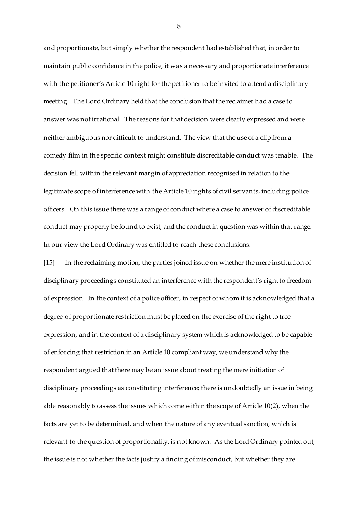and proportionate, but simply whether the respondent had established that, in order to maintain public confidence in the police, it was a necessary and proportionate interference with the petitioner's Article 10 right for the petitioner to be invited to attend a disciplinary meeting. The Lord Ordinary held that the conclusion that the reclaimer had a case to answer was not irrational. The reasons for that decision were clearly expressed and were neither ambiguous nor difficult to understand. The view that the use of a clip from a comedy film in the specific context might constitute discreditable conduct was tenable. The decision fell within the relevant margin of appreciation recognised in relation to the legitimate scope of interference with the Article 10 rights of civil servants, including police officers. On this issue there was a range of conduct where a case to answer of discreditable conduct may properly be found to exist, and the conduct in question was within that range. In our view the Lord Ordinary was entitled to reach these conclusions.

[15] In the reclaiming motion, the parties joined issue on whether the mere institution of disciplinary proceedings constituted an interference with the respondent's right to freedom of expression. In the context of a police officer, in respect of whom it is acknowledged that a degree of proportionate restriction must be placed on the exercise of the right to free expression, and in the context of a disciplinary system which is acknowledged to be capable of enforcing that restriction in an Article 10 compliant way, we understand why the respondent argued that there may be an issue about treating the mere initiation of disciplinary proceedings as constituting interference; there is undoubtedly an issue in being able reasonably to assess the issues which come within the scope of Article 10(2), when the facts are yet to be determined, and when the nature of any eventual sanction, which is relevant to the question of proportionality, is not known. As the Lord Ordinary pointed out, the issue is not whether the facts justify a finding of misconduct, but whether they are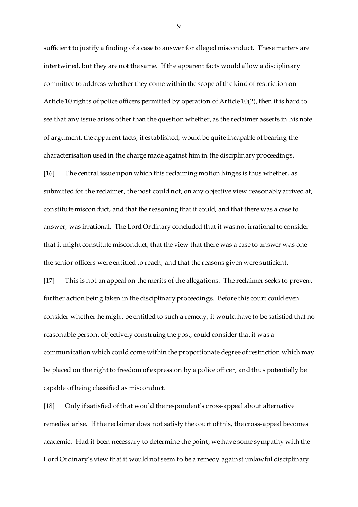sufficient to justify a finding of a case to answer for alleged misconduct. These matters are intertwined, but they are not the same. If the apparent facts would allow a disciplinary committee to address whether they come within the scope of the kind of restriction on Article 10 rights of police officers permitted by operation of Article 10(2), then it is hard to see that any issue arises other than the question whether, as the reclaimer asserts in his note of argument, the apparent facts, if established, would be quite incapable of bearing the characterisation used in the charge made against him in the disciplinary proceedings.

[16] The central issue upon which this reclaiming motion hinges is thus whether, as submitted for the reclaimer, the post could not, on any objective view reasonably arrived at, constitute misconduct, and that the reasoning that it could, and that there was a case to answer, was irrational. The Lord Ordinary concluded that it was not irrational to consider that it might constitute misconduct, that the view that there was a case to answer was one the senior officers were entitled to reach, and that the reasons given were sufficient.

[17] This is not an appeal on the merits of the allegations. The reclaimer seeks to prevent further action being taken in the disciplinary proceedings. Before this court could even consider whether he might be entitled to such a remedy, it would have to be satisfied that no reasonable person, objectively construing the post, could consider that it was a communication which could come within the proportionate degree of restriction which may be placed on the right to freedom of expression by a police officer, and thus potentially be capable of being classified as misconduct.

[18] Only if satisfied of that would the respondent's cross-appeal about alternative remedies arise. If the reclaimer does not satisfy the court of this, the cross-appeal becomes academic. Had it been necessary to determine the point, we have some sympathy with the Lord Ordinary's view that it would not seem to be a remedy against unlawful disciplinary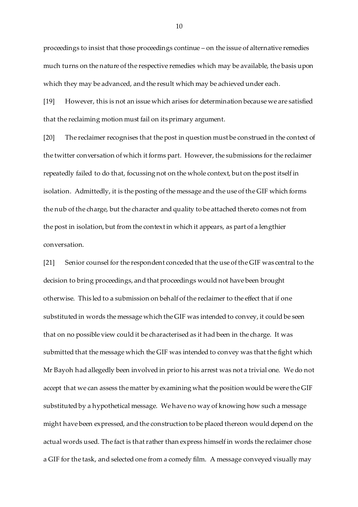proceedings to insist that those proceedings continue – on the issue of alternative remedies much turns on the nature of the respective remedies which may be available, the basis upon which they may be advanced, and the result which may be achieved under each.

[19] However, this is not an issue which arises for determination because we are satisfied that the reclaiming motion must fail on its primary argument.

[20] The reclaimer recognises that the post in question must be construed in the context of the twitter conversation of which it forms part. However, the submissions for the reclaimer repeatedly failed to do that, focussing not on the whole context, but on the post itself in isolation. Admittedly, it is the posting of the message and the use of the GIF which forms the nub of the charge, but the character and quality to be attached thereto comes not from the post in isolation, but from the context in which it appears, as part of a lengthier conversation.

[21] Senior counsel for the respondent conceded that the use of the GIF was central to the decision to bring proceedings, and that proceedings would not have been brought otherwise. This led to a submission on behalf of the reclaimer to the effect that if one substituted in words the message which the GIF was intended to convey, it could be seen that on no possible view could it be characterised as it had been in the charge. It was submitted that the message which the GIF was intended to convey was that the fight which Mr Bayoh had allegedly been involved in prior to his arrest was not a trivial one. We do not accept that we can assess the matter by examining what the position would be were the GIF substituted by a hypothetical message. We have no way of knowing how such a message might have been expressed, and the construction to be placed thereon would depend on the actual words used. The fact is that rather than express himself in words the reclaimer chose a GIF for the task, and selected one from a comedy film. A message conveyed visually may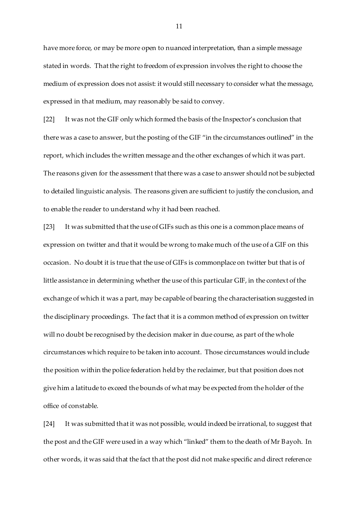have more force, or may be more open to nuanced interpretation, than a simple message stated in words. That the right to freedom of expression involves the right to choose the medium of expression does not assist: it would still necessary to consider what the message, expressed in that medium, may reasonably be said to convey.

[22] It was not the GIF only which formed the basis of the Inspector's conclusion that there was a case to answer, but the posting of the GIF "in the circumstances outlined" in the report, which includes the written message and the other exchanges of which it was part. The reasons given for the assessment that there was a case to answer should not be subjected to detailed linguistic analysis. The reasons given are sufficient to justify the conclusion, and to enable the reader to understand why it had been reached.

[23] It was submitted that the use of GIFs such as this one is a commonplace means of expression on twitter and that it would be wrong to make much of the use of a GIF on this occasion. No doubt it is true that the use of GIFs is commonplace on twitter but that is of little assistance in determining whether the use of this particular GIF, in the context of the exchange of which it was a part, may be capable of bearing the characterisation suggested in the disciplinary proceedings. The fact that it is a common method of expression on twitter will no doubt be recognised by the decision maker in due course, as part of the whole circumstances which require to be taken into account. Those circumstances would include the position within the police federation held by the reclaimer, but that position does not give him a latitude to exceed the bounds of what may be expected from the holder of the office of constable.

[24] It was submitted that it was not possible, would indeed be irrational, to suggest that the post and the GIF were used in a way which "linked" them to the death of Mr Bayoh. In other words, it was said that the fact that the post did not make specific and direct reference